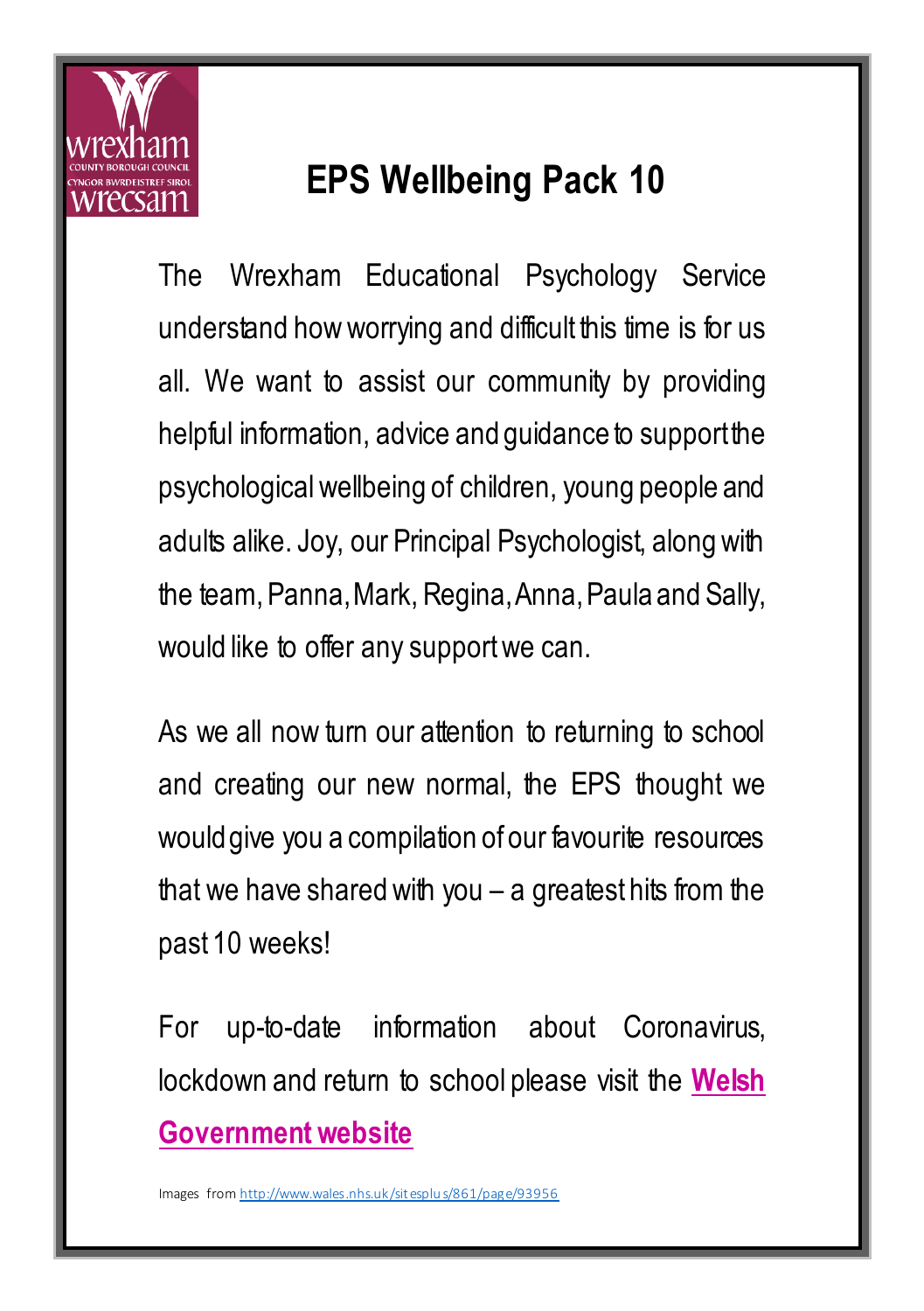

## **EPS Wellbeing Pack 10**

The Wrexham Educational Psychology Service understand how worrying and difficult this time is for us all. We want to assist our community by providing helpful information, advice and quidance to support the psychological wellbeing of children, young people and adults alike. Joy, our Principal Psychologist, along with the team, Panna, Mark, Regina, Anna,Paula and Sally, would like to offer any support we can.

As we all now turn our attention to returning to school and creating our new normal, the EPS thought we would give you a compilation of our favourite resources that we have shared with you  $-$  a greatest hits from the past 10 weeks!

For up-to-date information about Coronavirus, lockdown and return to school please visit the **[Welsh](https://gov.wales/coronavirus)  [Government website](https://gov.wales/coronavirus)**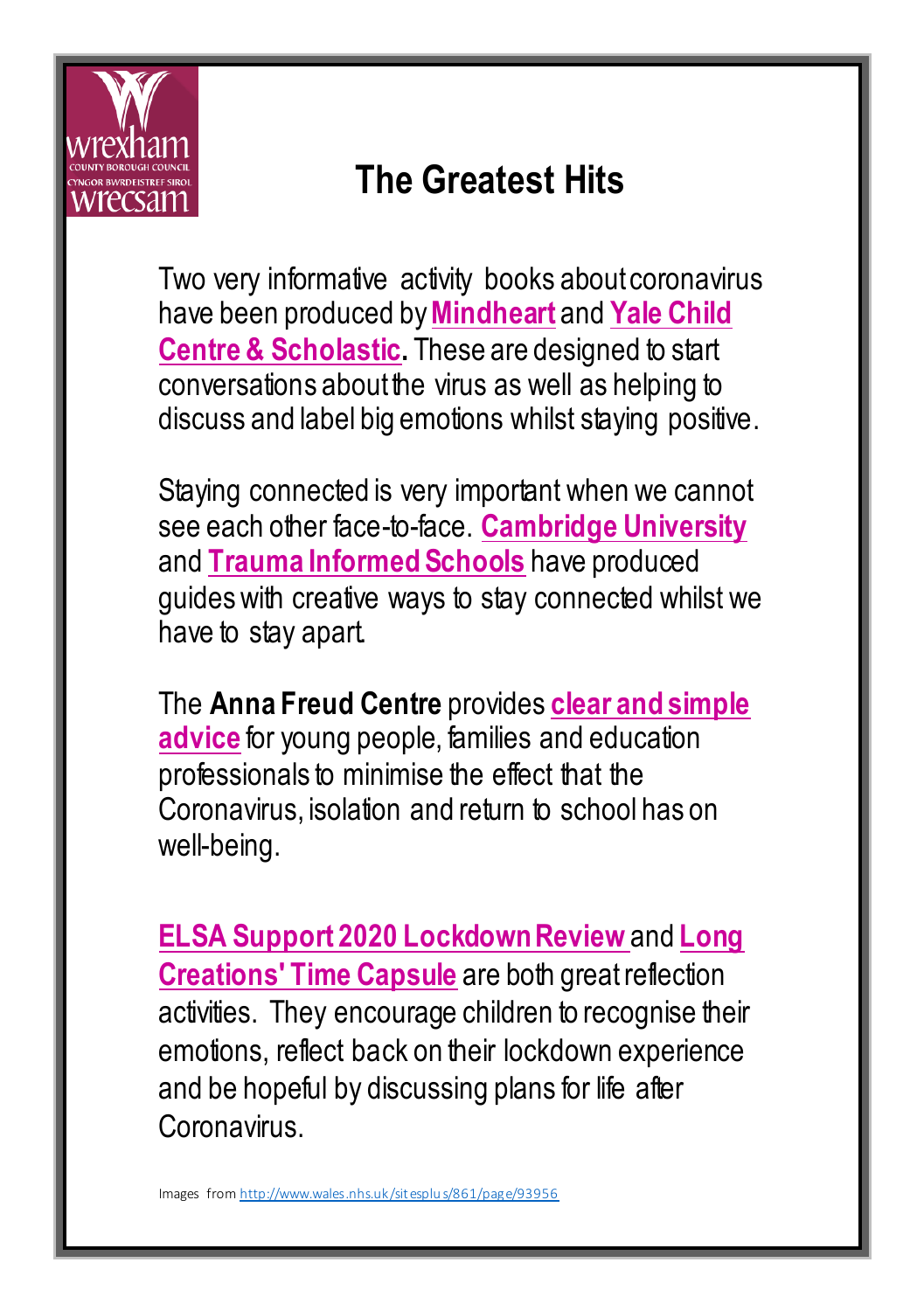

### **The Greatest Hits**

Two very informative activity books about coronavirus have been produced by**[Mindheart](https://www.mindheart.co/descargables)** and **[Yale Child](http://teacher.scholastic.com/education/pdfs/FirstAidForFeelings_Eng.pdf)  [Centre & Scholastic.](http://teacher.scholastic.com/education/pdfs/FirstAidForFeelings_Eng.pdf)** These are designed to start conversations about the virus as well as helping to discuss and label big emotions whilst staying positive.

Staying connected is very important when we cannot see each other face-to-face. **[Cambridge University](https://www.cambridge.org/elt/blog/2020/04/17/supporting-every-teacher-4-activities-to-encourage-social-connectedness-in-teenage-learners/)** and **[Trauma Informed Schools](https://www.traumainformedschools.co.uk/images/TIS_Creating_Opportunities_2.pdf)** have produced guides with creative ways to stay connected whilst we have to stay apart.

The **Anna Freud Centre** provides **[clear and simple](https://www.annafreud.org/coronavirus-support/)  [advice](https://www.annafreud.org/coronavirus-support/)** for young people, families and education professionals to minimise the effect that the Coronavirus, isolation and return to school has on well-being.

**[ELSA Support 2020 Lockdown Review](https://www.elsa-support.co.uk/wp-content/uploads/2020/05/2020-review.pdf)** and **[Long](https://drive.google.com/file/d/1MaM2RBrqyDeyKFCG8impDgfuZ8a2tIZ-/view?fbclid=IwAR06aH4N3v3SDHKPA4EsfVah9-TypkyTbDfG8PSe67Eutgv5JDaXeSvHZw8)  [Creations' Time Capsule](https://drive.google.com/file/d/1MaM2RBrqyDeyKFCG8impDgfuZ8a2tIZ-/view?fbclid=IwAR06aH4N3v3SDHKPA4EsfVah9-TypkyTbDfG8PSe67Eutgv5JDaXeSvHZw8)** are both great reflection activities. They encourage children to recognise their emotions, reflect back on their lockdown experience and be hopeful by discussing plans for life after **Coronavirus**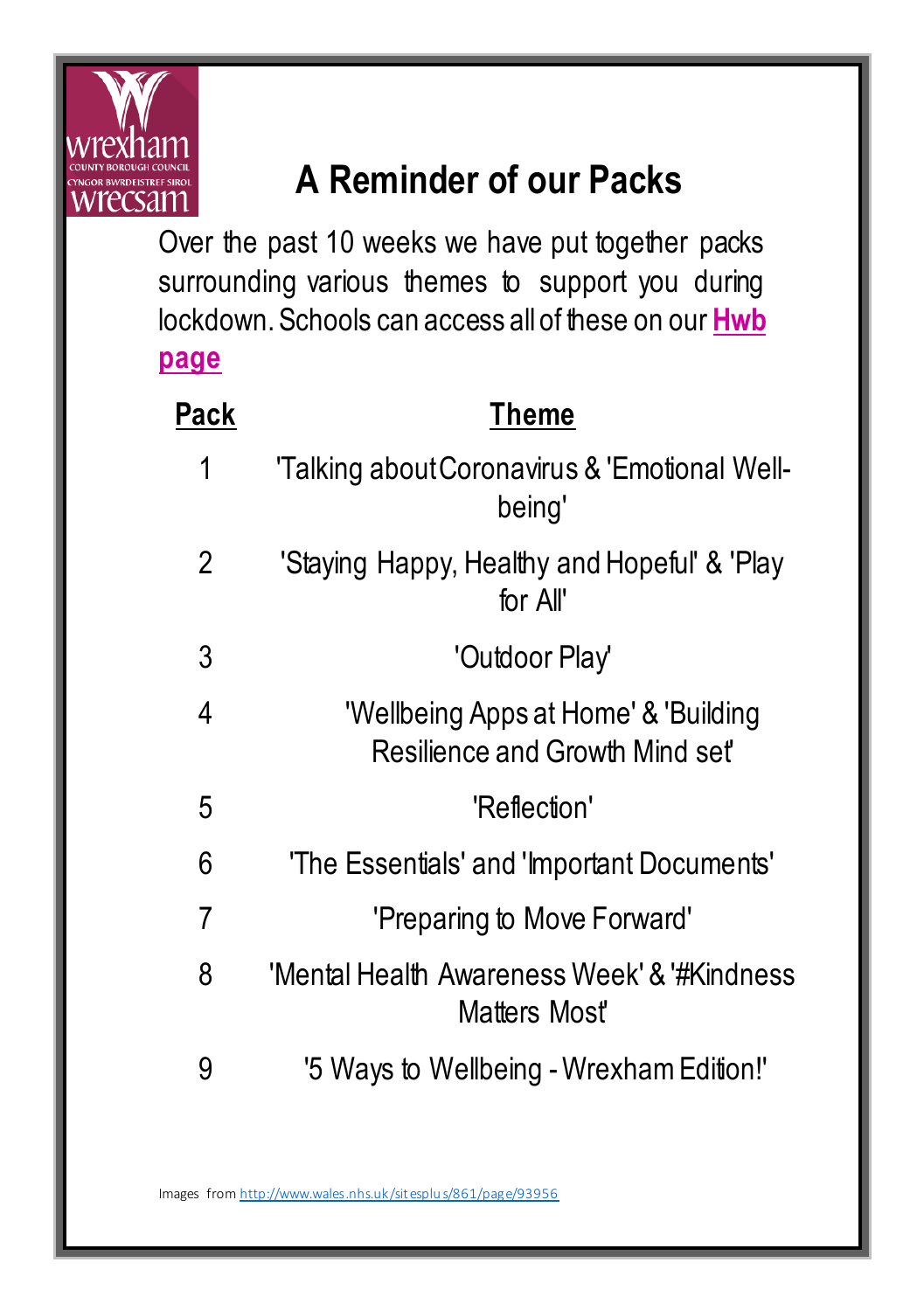

## **A Reminder of our Packs**

Over the past 10 weeks we have put together packs surrounding various themes to support you during lockdown. Schools can access all of these on our **[Hwb](https://hwbwave15.sharepoint.com/sites/665/inclusion/edpsychs/SitePages/Covid-19%20Resources.aspx)  [page](https://hwbwave15.sharepoint.com/sites/665/inclusion/edpsychs/SitePages/Covid-19%20Resources.aspx)**

| Pack | Theme                                                                  |
|------|------------------------------------------------------------------------|
| 1    | 'Talking about Coronavirus & 'Emotional Well-<br>being'                |
| 2    | 'Staying Happy, Healthy and Hopeful' & 'Play<br>for All'               |
| 3    | 'Outdoor Play'                                                         |
| 4    | 'Wellbeing Apps at Home' & 'Building<br>Resilience and Growth Mind set |
| 5    | 'Reflection'                                                           |
| 6    | 'The Essentials' and 'Important Documents'                             |
| 7    | 'Preparing to Move Forward'                                            |
| 8    | 'Mental Health Awareness Week' & '#Kindness'<br>Matters Mosť           |
| 9    | '5 Ways to Wellbeing - Wrexham Edition!'                               |